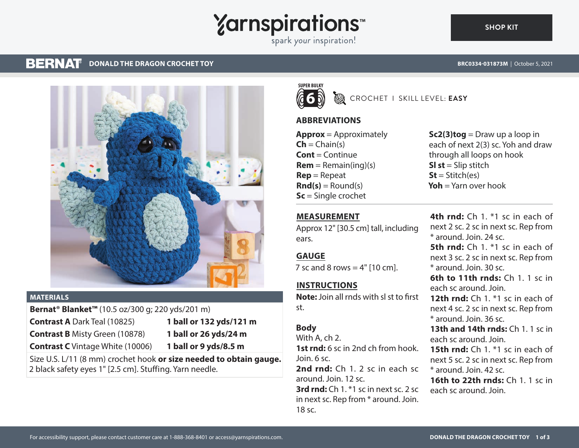# **Yarnspirations**

spark your inspiration!

#### **BERNAT DONALD THE DRAGON CROCHET TOY**

**BRC0334-031873M** | October 5, 2021



#### **MATERIALS**

**Bernat® Blanket™** (10.5 oz/300 g; 220 yds/201 m)

**Contrast A** Dark Teal (10825) **1 ball or 132 yds/121 m**

**Contrast B** Misty Green (10878) **1 ball or 26 yds/24 m**

**Contrast C** Vintage White (10006) **1 ball or 9 yds/8.5 m**

Size U.S. L/11 (8 mm) crochet hook **or size needed to obtain gauge.** 2 black safety eyes 1" [2.5 cm]. Stuffing. Yarn needle.



CROCHET I SKILL LEVEL: **EASY**

# **ABBREVIATIONS**

**Approx** = Approximately  $\mathsf{Ch} = \mathsf{Chain}(s)$ **Cont** = Continue  $Rem = Remain(ing)(s)$ **Rep** = Repeat  $\text{Rnd}(s) =$  Round(s) **Sc** = Single crochet

**Sc2(3)tog** = Draw up a loop in each of next 2(3) sc. Yoh and draw through all loops on hook **Sl st** = Slip stitch  $St = Stitch(es)$ **Yoh** = Yarn over hook

## **MEASUREMENT**

Approx 12" [30.5 cm] tall, including ears.

# **GAUGE**

7 sc and 8 rows  $=$  4"  $[10 \text{ cm}]$ .

# **INSTRUCTIONS**

**Note:** Join all rnds with sl st to first st.

# **Body**

With A, ch 2. **1st rnd:** 6 sc in 2nd ch from hook. Join. 6 sc. **2nd rnd:** Ch 1. 2 sc in each sc around. Join. 12 sc. **3rd rnd:** Ch 1. \*1 sc in next sc. 2 sc in next sc. Rep from \* around. Join. 18 sc.

**4th rnd:** Ch 1. \*1 sc in each of next 2 sc. 2 sc in next sc. Rep from \* around. Join. 24 sc. **5th rnd:** Ch 1. \*1 sc in each of next 3 sc. 2 sc in next sc. Rep from \* around. Join. 30 sc. **6th to 11th rnds:** Ch 1. 1 sc in each sc around. Join. **12th rnd:** Ch 1. \*1 sc in each of next 4 sc. 2 sc in next sc. Rep from \* around. Join. 36 sc. **13th and 14th rnds:** Ch 1. 1 sc in each sc around. Join. **15th rnd:** Ch 1. \*1 sc in each of

next 5 sc. 2 sc in next sc. Rep from \* around. Join. 42 sc.

**16th to 22th rnds:** Ch 1. 1 sc in each sc around. Join.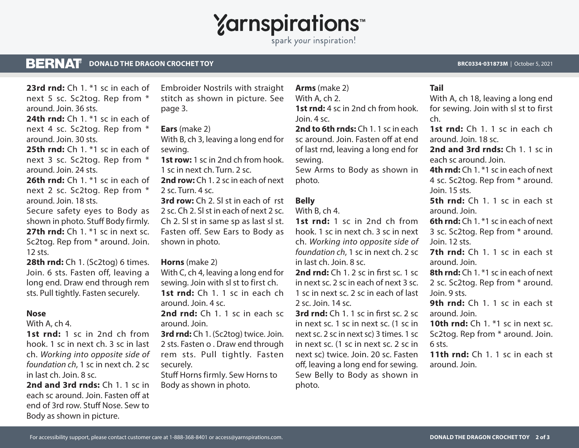# **Yarnspirations**

spark your inspiration!

#### **BERNAT DONALD THE DRAGON CROCHET TOY BRC0334-031873M** | October 5, 2021

next 5 sc. Sc2tog. Rep from \* around. Join. 36 sts. **24th rnd:** Ch 1<sup>\*1</sup> sc in each of next 4 sc. Sc2tog. Rep from \* around. Join. 30 sts. **25th rnd:** Ch 1. \*1 sc in each of next 3 sc. Sc2tog. Rep from \* around. Join. 24 sts. **26th rnd:** Ch 1. \*1 sc in each of

**23rd rnd:** Ch 1. \*1 sc in each of

next 2 sc. Sc2tog. Rep from \* around. Join. 18 sts.

Secure safety eyes to Body as shown in photo. Stuff Body firmly. **27th rnd:** Ch 1. <sup>\*</sup>1 sc in next sc. Sc2tog. Rep from \* around. Join. 12 sts.

**28th rnd:** Ch 1. (Sc2tog) 6 times. Join. 6 sts. Fasten off, leaving a long end. Draw end through rem sts. Pull tightly. Fasten securely.

#### **Nose**

With A, ch 4.

**1st rnd:** 1 sc in 2nd ch from hook. 1 sc in next ch. 3 sc in last ch. *Working into opposite side of foundation ch*, 1 sc in next ch. 2 sc in last ch. Join. 8 sc.

**2nd and 3rd rnds:** Ch 1. 1 sc in each sc around. Join. Fasten off at end of 3rd row. Stuff Nose. Sew to Body as shown in picture.

Embroider Nostrils with straight stitch as shown in picture. See page 3.

### **Ears** (make 2)

With B, ch 3, leaving a long end for sewing.

**1st row:** 1 sc in 2nd ch from hook. 1 sc in next ch. Turn. 2 sc.

**2nd row:** Ch 1. 2 sc in each of next 2 sc. Turn. 4 sc.

**3rd row:** Ch 2. Sl st in each of rst 2 sc. Ch 2. Sl st in each of next 2 sc. Ch 2. Sl st in same sp as last sl st. Fasten off. Sew Ears to Body as shown in photo.

#### **Horns** (make 2)

With C, ch 4, leaving a long end for sewing. Join with sl st to first ch. 1st rnd: Ch 1. 1 sc in each ch around. Join. 4 sc.

**2nd rnd:** Ch 1. 1 sc in each sc around. Join.

**3rd rnd:** Ch 1. (Sc2tog) twice. Join. 2 sts. Fasten o . Draw end through rem sts. Pull tightly. Fasten securely.

Stuff Horns firmly. Sew Horns to Body as shown in photo.

**Arms** (make 2) With A, ch 2. **1st rnd:** 4 sc in 2nd ch from hook. Join. 4 sc.

**2nd to 6th rnds:** Ch 1. 1 sc in each sc around. Join. Fasten off at end of last rnd, leaving a long end for sewing.

Sew Arms to Body as shown in photo.

# **Belly**

With B, ch 4.

**1st rnd:** 1 sc in 2nd ch from hook. 1 sc in next ch. 3 sc in next ch. *Working into opposite side of foundation ch*, 1 sc in next ch. 2 sc in last ch. Join. 8 sc.

**2nd rnd:** Ch 1. 2 sc in first sc. 1 sc in next sc. 2 sc in each of next 3 sc. 1 sc in next sc. 2 sc in each of last  $2$  sc. Join.  $14$  sc.

**3rd rnd:** Ch 1. 1 sc in first sc. 2 sc in next sc. 1 sc in next sc. (1 sc in next sc. 2 sc in next sc) 3 times. 1 sc in next sc. (1 sc in next sc. 2 sc in next sc) twice. Join. 20 sc. Fasten off, leaving a long end for sewing. Sew Belly to Body as shown in photo.

### **Tail**

With A, ch 18, leaving a long end for sewing. Join with sl st to first ch.

**1st rnd:** Ch 1. 1 sc in each ch around. Join. 18 sc.

**2nd and 3rd rnds:** Ch 1. 1 sc in each sc around. Join.

**4th rnd:** Ch 1. \*1 sc in each of next 4 sc. Sc2tog. Rep from \* around. Join. 15 sts.

**5th rnd:** Ch 1. 1 sc in each st around. Join.

**6th rnd:** Ch 1. \*1 sc in each of next 3 sc. Sc2tog. Rep from \* around. Join. 12 sts.

**7th rnd:** Ch 1. 1 sc in each st around. Join.

**8th rnd:** Ch 1. \*1 sc in each of next 2 sc. Sc2tog. Rep from \* around. Join. 9 sts.

**9th rnd:** Ch 1, 1 sc in each st around. Join.

**10th rnd:** Ch 1. \*1 sc in next sc. Sc2tog. Rep from \* around. Join. 6 sts.

**11th rnd:** Ch 1. 1 sc in each st around. Join.